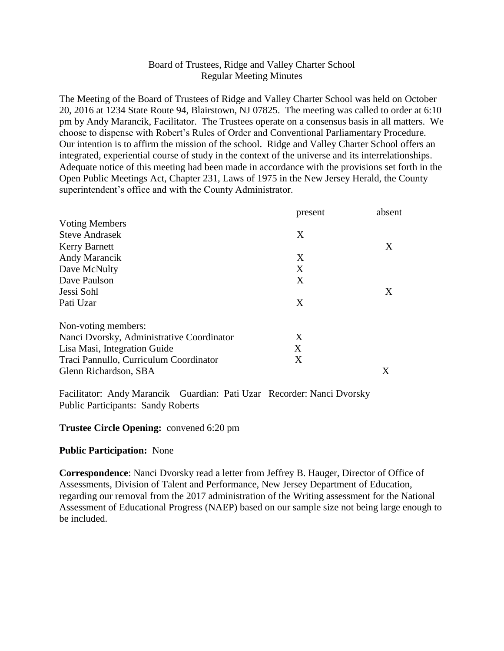### Board of Trustees, Ridge and Valley Charter School Regular Meeting Minutes

The Meeting of the Board of Trustees of Ridge and Valley Charter School was held on October 20, 2016 at 1234 State Route 94, Blairstown, NJ 07825. The meeting was called to order at 6:10 pm by Andy Marancik, Facilitator. The Trustees operate on a consensus basis in all matters. We choose to dispense with Robert's Rules of Order and Conventional Parliamentary Procedure. Our intention is to affirm the mission of the school. Ridge and Valley Charter School offers an integrated, experiential course of study in the context of the universe and its interrelationships. Adequate notice of this meeting had been made in accordance with the provisions set forth in the Open Public Meetings Act, Chapter 231, Laws of 1975 in the New Jersey Herald, the County superintendent's office and with the County Administrator.

|                                           | present | absent |
|-------------------------------------------|---------|--------|
| <b>Voting Members</b>                     |         |        |
| <b>Steve Andrasek</b>                     | X       |        |
| <b>Kerry Barnett</b>                      |         | X      |
| Andy Marancik                             | X       |        |
| Dave McNulty                              | X       |        |
| Dave Paulson                              | X       |        |
| Jessi Sohl                                |         | X      |
| Pati Uzar                                 | X       |        |
| Non-voting members:                       |         |        |
| Nanci Dvorsky, Administrative Coordinator | X       |        |
| Lisa Masi, Integration Guide              | X       |        |
| Traci Pannullo, Curriculum Coordinator    | X       |        |
| Glenn Richardson, SBA                     |         | X      |

Facilitator: Andy Marancik Guardian: Pati Uzar Recorder: Nanci Dvorsky Public Participants: Sandy Roberts

#### **Trustee Circle Opening:** convened 6:20 pm

#### **Public Participation:** None

**Correspondence**: Nanci Dvorsky read a letter from Jeffrey B. Hauger, Director of Office of Assessments, Division of Talent and Performance, New Jersey Department of Education, regarding our removal from the 2017 administration of the Writing assessment for the National Assessment of Educational Progress (NAEP) based on our sample size not being large enough to be included.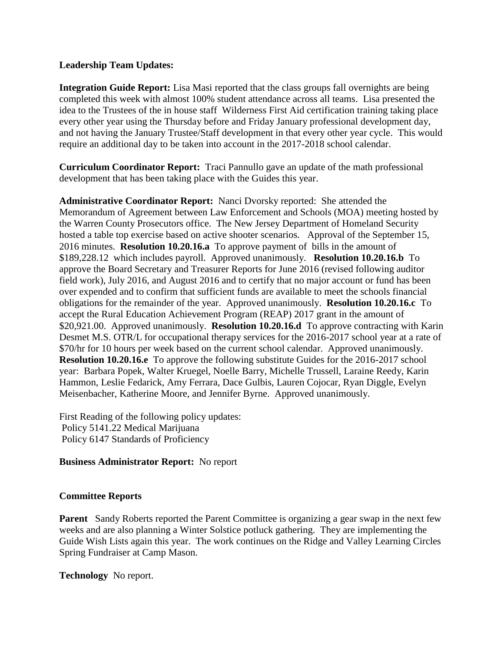#### **Leadership Team Updates:**

**Integration Guide Report:** Lisa Masi reported that the class groups fall overnights are being completed this week with almost 100% student attendance across all teams. Lisa presented the idea to the Trustees of the in house staff Wilderness First Aid certification training taking place every other year using the Thursday before and Friday January professional development day, and not having the January Trustee/Staff development in that every other year cycle. This would require an additional day to be taken into account in the 2017-2018 school calendar.

**Curriculum Coordinator Report:** Traci Pannullo gave an update of the math professional development that has been taking place with the Guides this year.

**Administrative Coordinator Report:** Nanci Dvorsky reported: She attended the Memorandum of Agreement between Law Enforcement and Schools (MOA) meeting hosted by the Warren County Prosecutors office. The New Jersey Department of Homeland Security hosted a table top exercise based on active shooter scenarios. Approval of the September 15, 2016 minutes. **Resolution 10.20.16.a** To approve payment of bills in the amount of \$189,228.12 which includes payroll. Approved unanimously. **Resolution 10.20.16.b** To approve the Board Secretary and Treasurer Reports for June 2016 (revised following auditor field work), July 2016, and August 2016 and to certify that no major account or fund has been over expended and to confirm that sufficient funds are available to meet the schools financial obligations for the remainder of the year. Approved unanimously. **Resolution 10.20.16.c** To accept the Rural Education Achievement Program (REAP) 2017 grant in the amount of \$20,921.00. Approved unanimously. **Resolution 10.20.16.d** To approve contracting with Karin Desmet M.S. OTR/L for occupational therapy services for the 2016-2017 school year at a rate of \$70/hr for 10 hours per week based on the current school calendar. Approved unanimously. **Resolution 10.20.16.e** To approve the following substitute Guides for the 2016-2017 school year: Barbara Popek, Walter Kruegel, Noelle Barry, Michelle Trussell, Laraine Reedy, Karin Hammon, Leslie Fedarick, Amy Ferrara, Dace Gulbis, Lauren Cojocar, Ryan Diggle, Evelyn Meisenbacher, Katherine Moore, and Jennifer Byrne. Approved unanimously.

First Reading of the following policy updates: Policy 5141.22 Medical Marijuana Policy 6147 Standards of Proficiency

# **Business Administrator Report:** No report

# **Committee Reports**

**Parent** Sandy Roberts reported the Parent Committee is organizing a gear swap in the next few weeks and are also planning a Winter Solstice potluck gathering. They are implementing the Guide Wish Lists again this year. The work continues on the Ridge and Valley Learning Circles Spring Fundraiser at Camp Mason.

**Technology** No report.